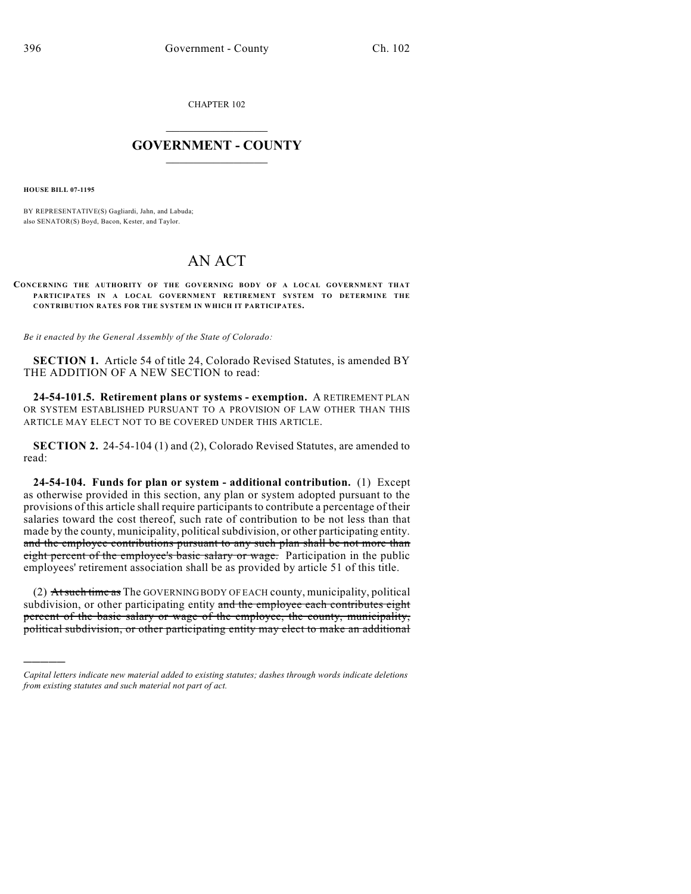CHAPTER 102

## $\mathcal{L}_\text{max}$  . The set of the set of the set of the set of the set of the set of the set of the set of the set of the set of the set of the set of the set of the set of the set of the set of the set of the set of the set **GOVERNMENT - COUNTY**  $\_$

**HOUSE BILL 07-1195**

)))))

BY REPRESENTATIVE(S) Gagliardi, Jahn, and Labuda; also SENATOR(S) Boyd, Bacon, Kester, and Taylor.

## AN ACT

## **CONCERNING THE AUTHORITY OF THE GOVERNING BODY OF A LOCAL GOVERNMENT THAT PARTICIPATES IN A LOCAL GOVERNMENT RETIREMENT SYSTEM TO DETERMINE THE CONTRIBUTION RATES FOR THE SYSTEM IN WHICH IT PARTICIPATES.**

*Be it enacted by the General Assembly of the State of Colorado:*

**SECTION 1.** Article 54 of title 24, Colorado Revised Statutes, is amended BY THE ADDITION OF A NEW SECTION to read:

**24-54-101.5. Retirement plans or systems - exemption.** A RETIREMENT PLAN OR SYSTEM ESTABLISHED PURSUANT TO A PROVISION OF LAW OTHER THAN THIS ARTICLE MAY ELECT NOT TO BE COVERED UNDER THIS ARTICLE.

**SECTION 2.** 24-54-104 (1) and (2), Colorado Revised Statutes, are amended to read:

**24-54-104. Funds for plan or system - additional contribution.** (1) Except as otherwise provided in this section, any plan or system adopted pursuant to the provisions of this article shall require participants to contribute a percentage of their salaries toward the cost thereof, such rate of contribution to be not less than that made by the county, municipality, political subdivision, or other participating entity. and the employee contributions pursuant to any such plan shall be not more than eight percent of the employee's basic salary or wage. Participation in the public employees' retirement association shall be as provided by article 51 of this title.

(2) At such time as The GOVERNING BODY OF EACH county, municipality, political subdivision, or other participating entity and the employee each contributes eight percent of the basic salary or wage of the employee, the county, municipality, political subdivision, or other participating entity may elect to make an additional

*Capital letters indicate new material added to existing statutes; dashes through words indicate deletions from existing statutes and such material not part of act.*